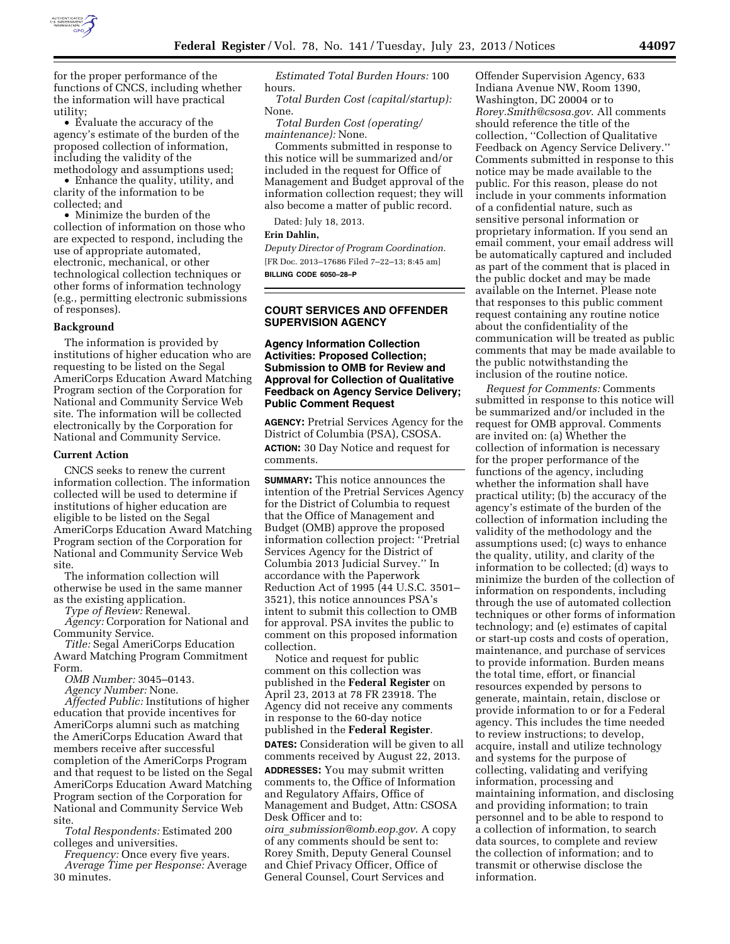

for the proper performance of the functions of CNCS, including whether the information will have practical utility;

• Evaluate the accuracy of the agency's estimate of the burden of the proposed collection of information, including the validity of the methodology and assumptions used;

• Enhance the quality, utility, and clarity of the information to be collected; and

• Minimize the burden of the collection of information on those who are expected to respond, including the use of appropriate automated, electronic, mechanical, or other technological collection techniques or other forms of information technology (e.g., permitting electronic submissions of responses).

### **Background**

The information is provided by institutions of higher education who are requesting to be listed on the Segal AmeriCorps Education Award Matching Program section of the Corporation for National and Community Service Web site. The information will be collected electronically by the Corporation for National and Community Service.

#### **Current Action**

CNCS seeks to renew the current information collection. The information collected will be used to determine if institutions of higher education are eligible to be listed on the Segal AmeriCorps Education Award Matching Program section of the Corporation for National and Community Service Web site.

The information collection will otherwise be used in the same manner as the existing application.

*Type of Review:* Renewal.

*Agency:* Corporation for National and Community Service.

*Title:* Segal AmeriCorps Education Award Matching Program Commitment Form.

*OMB Number:* 3045–0143.

*Agency Number:* None.

*Affected Public:* Institutions of higher education that provide incentives for AmeriCorps alumni such as matching the AmeriCorps Education Award that members receive after successful completion of the AmeriCorps Program and that request to be listed on the Segal AmeriCorps Education Award Matching Program section of the Corporation for National and Community Service Web site.

*Total Respondents:* Estimated 200 colleges and universities.

*Frequency:* Once every five years. *Average Time per Response:* Average 30 minutes.

*Estimated Total Burden Hours:* 100 hours.

*Total Burden Cost (capital/startup):*  None.

*Total Burden Cost (operating/ maintenance):* None.

Comments submitted in response to this notice will be summarized and/or included in the request for Office of Management and Budget approval of the information collection request; they will also become a matter of public record.

Dated: July 18, 2013.

## **Erin Dahlin,**

*Deputy Director of Program Coordination.*  [FR Doc. 2013–17686 Filed 7–22–13; 8:45 am] **BILLING CODE 6050–28–P** 

**COURT SERVICES AND OFFENDER SUPERVISION AGENCY** 

# **Agency Information Collection Activities: Proposed Collection; Submission to OMB for Review and Approval for Collection of Qualitative Feedback on Agency Service Delivery; Public Comment Request**

**AGENCY:** Pretrial Services Agency for the District of Columbia (PSA), CSOSA. **ACTION:** 30 Day Notice and request for comments.

**SUMMARY:** This notice announces the intention of the Pretrial Services Agency for the District of Columbia to request that the Office of Management and Budget (OMB) approve the proposed information collection project: ''Pretrial Services Agency for the District of Columbia 2013 Judicial Survey.'' In accordance with the Paperwork Reduction Act of 1995 (44 U.S.C. 3501– 3521), this notice announces PSA's intent to submit this collection to OMB for approval. PSA invites the public to comment on this proposed information collection.

Notice and request for public comment on this collection was published in the **Federal Register** on April 23, 2013 at 78 FR 23918. The Agency did not receive any comments in response to the 60-day notice published in the **Federal Register**. **DATES:** Consideration will be given to all comments received by August 22, 2013. **ADDRESSES:** You may submit written comments to, the Office of Information and Regulatory Affairs, Office of Management and Budget, Attn: CSOSA Desk Officer and to:

*oira*\_*[submission@omb.eop.gov](mailto:oira_submission@omb.eop.gov)*. A copy of any comments should be sent to: Rorey Smith, Deputy General Counsel and Chief Privacy Officer, Office of General Counsel, Court Services and

Offender Supervision Agency, 633 Indiana Avenue NW, Room 1390, Washington, DC 20004 or to *[Rorey.Smith@csosa.gov](mailto:Rorey.Smith@csosa.gov)*. All comments should reference the title of the collection, ''Collection of Qualitative Feedback on Agency Service Delivery.'' Comments submitted in response to this notice may be made available to the public. For this reason, please do not include in your comments information of a confidential nature, such as sensitive personal information or proprietary information. If you send an email comment, your email address will be automatically captured and included as part of the comment that is placed in the public docket and may be made available on the Internet. Please note that responses to this public comment request containing any routine notice about the confidentiality of the communication will be treated as public comments that may be made available to the public notwithstanding the inclusion of the routine notice.

*Request for Comments:* Comments submitted in response to this notice will be summarized and/or included in the request for OMB approval. Comments are invited on: (a) Whether the collection of information is necessary for the proper performance of the functions of the agency, including whether the information shall have practical utility; (b) the accuracy of the agency's estimate of the burden of the collection of information including the validity of the methodology and the assumptions used; (c) ways to enhance the quality, utility, and clarity of the information to be collected; (d) ways to minimize the burden of the collection of information on respondents, including through the use of automated collection techniques or other forms of information technology; and (e) estimates of capital or start-up costs and costs of operation, maintenance, and purchase of services to provide information. Burden means the total time, effort, or financial resources expended by persons to generate, maintain, retain, disclose or provide information to or for a Federal agency. This includes the time needed to review instructions; to develop, acquire, install and utilize technology and systems for the purpose of collecting, validating and verifying information, processing and maintaining information, and disclosing and providing information; to train personnel and to be able to respond to a collection of information, to search data sources, to complete and review the collection of information; and to transmit or otherwise disclose the information.